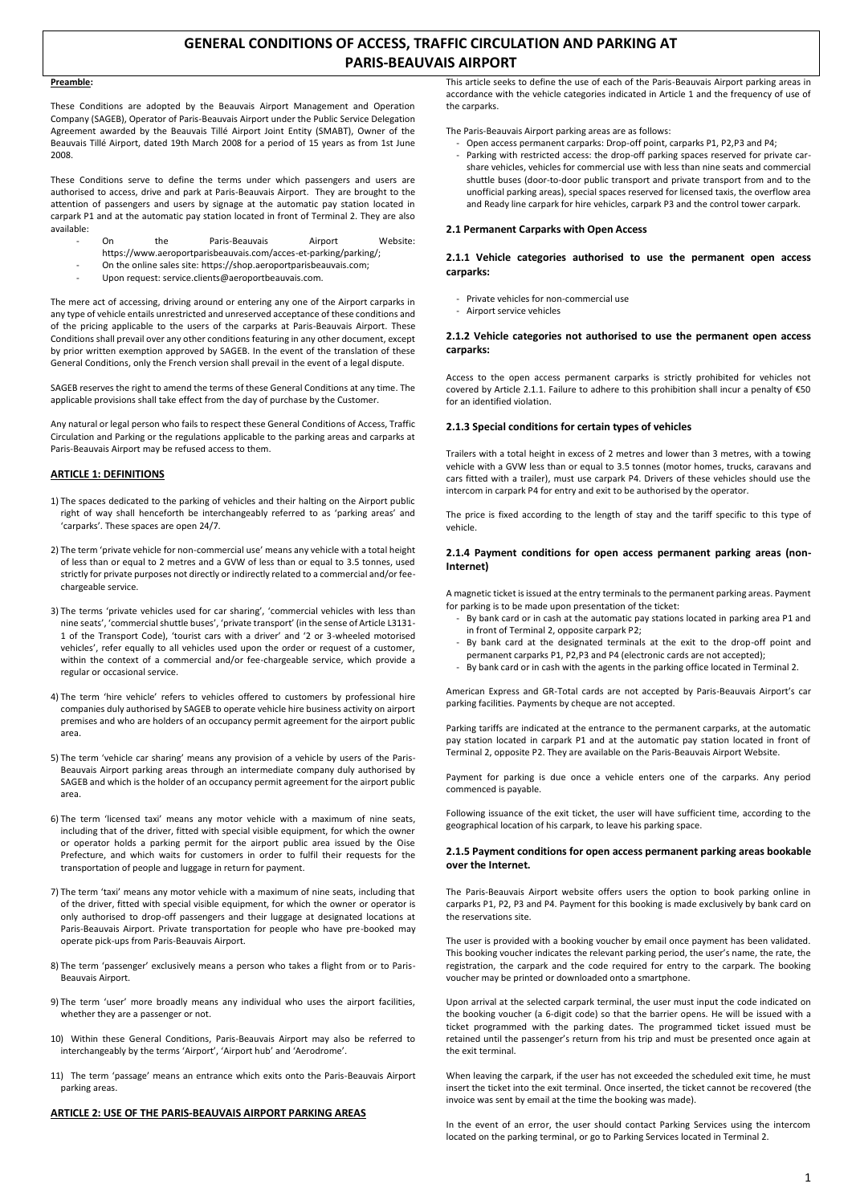# **GENERAL CONDITIONS OF ACCESS, TRAFFIC CIRCULATION AND PARKING AT PARIS-BEAUVAIS AIRPORT**

# **Preamble:**

These Conditions are adopted by the Beauvais Airport Management and Operation Company (SAGEB), Operator of Paris-Beauvais Airport under the Public Service Delegation Agreement awarded by the Beauvais Tillé Airport Joint Entity (SMABT), Owner of the Beauvais Tillé Airport, dated 19th March 2008 for a period of 15 years as from 1st June 2008.

These Conditions serve to define the terms under which passengers and users are authorised to access, drive and park at Paris-Beauvais Airport. They are brought to the attention of passengers and users by signage at the automatic pay station located in carpark P1 and at the automatic pay station located in front of Terminal 2. They are also available:

- On the Paris-Beauvais Airport Website:
- https://www.aeroportparisbeauvais.com/acces-et-parking/parking/;
- On the online sales site: https://shop.aeroportparisbeauvais.com;
- Upon request: service.clients@aeroportbeauvais.com.

The mere act of accessing, driving around or entering any one of the Airport carparks in any type of vehicle entails unrestricted and unreserved acceptance of these conditions and of the pricing applicable to the users of the carparks at Paris-Beauvais Airport. These Conditions shall prevail over any other conditions featuring in any other document, except by prior written exemption approved by SAGEB. In the event of the translation of these General Conditions, only the French version shall prevail in the event of a legal dispute.

SAGEB reserves the right to amend the terms of these General Conditions at any time. The applicable provisions shall take effect from the day of purchase by the Customer.

Any natural or legal person who fails to respect these General Conditions of Access, Traffic Circulation and Parking or the regulations applicable to the parking areas and carparks at Paris-Beauvais Airport may be refused access to them.

# **ARTICLE 1: DEFINITIONS**

- 1) The spaces dedicated to the parking of vehicles and their halting on the Airport public right of way shall henceforth be interchangeably referred to as 'parking areas' and 'carparks'. These spaces are open 24/7.
- 2) The term 'private vehicle for non-commercial use' means any vehicle with a total height of less than or equal to 2 metres and a GVW of less than or equal to 3.5 tonnes, used strictly for private purposes not directly or indirectly related to a commercial and/or feechargeable service.
- 3) The terms 'private vehicles used for car sharing', 'commercial vehicles with less than nine seats', 'commercial shuttle buses', 'private transport' (in the sense of Article L3131- 1 of the Transport Code), 'tourist cars with a driver' and '2 or 3-wheeled motorised vehicles', refer equally to all vehicles used upon the order or request of a customer, within the context of a commercial and/or fee-chargeable service, which provide a regular or occasional service.
- 4) The term 'hire vehicle' refers to vehicles offered to customers by professional hire companies duly authorised by SAGEB to operate vehicle hire business activity on airport premises and who are holders of an occupancy permit agreement for the airport public area.
- 5) The term 'vehicle car sharing' means any provision of a vehicle by users of the Paris-Beauvais Airport parking areas through an intermediate company duly authorised by SAGEB and which is the holder of an occupancy permit agreement for the airport public area.
- 6) The term 'licensed taxi' means any motor vehicle with a maximum of nine seats, including that of the driver, fitted with special visible equipment, for which the owner or operator holds a parking permit for the airport public area issued by the Oise Prefecture, and which waits for customers in order to fulfil their requests for the transportation of people and luggage in return for payment.
- 7) The term 'taxi' means any motor vehicle with a maximum of nine seats, including that of the driver, fitted with special visible equipment, for which the owner or operator is only authorised to drop-off passengers and their luggage at designated locations at Paris-Beauvais Airport. Private transportation for people who have pre-booked may operate pick-ups from Paris-Beauvais Airport.
- 8) The term 'passenger' exclusively means a person who takes a flight from or to Paris-Beauvais Airport.
- 9) The term 'user' more broadly means any individual who uses the airport facilities, whether they are a passenger or not.
- 10) Within these General Conditions, Paris-Beauvais Airport may also be referred to interchangeably by the terms 'Airport', 'Airport hub' and 'Aerodrome'.
- 11) The term 'passage' means an entrance which exits onto the Paris-Beauvais Airport parking areas.

### **ARTICLE 2: USE OF THE PARIS-BEAUVAIS AIRPORT PARKING AREAS**

This article seeks to define the use of each of the Paris-Beauvais Airport parking areas in accordance with the vehicle categories indicated in Article 1 and the frequency of use of the carparks.

The Paris-Beauvais Airport parking areas are as follows:

- Open access permanent carparks: Drop-off point, carparks P1, P2,P3 and P4; Parking with restricted access: the drop-off parking spaces reserved for private carshare vehicles, vehicles for commercial use with less than nine seats and commercial shuttle buses (door-to-door public transport and private transport from and to the
- unofficial parking areas), special spaces reserved for licensed taxis, the overflow area and Ready line carpark for hire vehicles, carpark P3 and the control tower carpark.

### **2.1 Permanent Carparks with Open Access**

# **2.1.1 Vehicle categories authorised to use the permanent open access carparks:**

- Private vehicles for non-commercial use
- Airport service vehicles

# **2.1.2 Vehicle categories not authorised to use the permanent open access carparks:**

Access to the open access permanent carparks is strictly prohibited for vehicles not covered by Article 2.1.1. Failure to adhere to this prohibition shall incur a penalty of €50 for an identified violation.

# **2.1.3 Special conditions for certain types of vehicles**

Trailers with a total height in excess of 2 metres and lower than 3 metres, with a towing vehicle with a GVW less than or equal to 3.5 tonnes (motor homes, trucks, caravans and cars fitted with a trailer), must use carpark P4. Drivers of these vehicles should use the intercom in carpark P4 for entry and exit to be authorised by the operator.

The price is fixed according to the length of stay and the tariff specific to this type of vehicle.

# **2.1.4 Payment conditions for open access permanent parking areas (non-Internet)**

A magnetic ticket is issued at the entry terminals to the permanent parking areas. Payment for parking is to be made upon presentation of the ticket:

- By bank card or in cash at the automatic pay stations located in parking area P1 and in front of Terminal 2, opposite carpark P2;
- By bank card at the designated terminals at the exit to the drop-off point and permanent carparks P1, P2,P3 and P4 (electronic cards are not accepted);
- By bank card or in cash with the agents in the parking office located in Terminal 2.

American Express and GR-Total cards are not accepted by Paris-Beauvais Airport's car parking facilities. Payments by cheque are not accepted.

Parking tariffs are indicated at the entrance to the permanent carparks, at the automatic pay station located in carpark P1 and at the automatic pay station located in front of Terminal 2, opposite P2. They are available on the Paris-Beauvais Airport Website.

Payment for parking is due once a vehicle enters one of the carparks. Any period commenced is payable.

Following issuance of the exit ticket, the user will have sufficient time, according to the geographical location of his carpark, to leave his parking space.

### **2.1.5 Payment conditions for open access permanent parking areas bookable over the Internet.**

The Paris-Beauvais Airport website offers users the option to book parking online in carparks P1, P2, P3 and P4. Payment for this booking is made exclusively by bank card on the reservations site.

The user is provided with a booking voucher by email once payment has been validated. This booking voucher indicates the relevant parking period, the user's name, the rate, the registration, the carpark and the code required for entry to the carpark. The booking voucher may be printed or downloaded onto a smartphone.

Upon arrival at the selected carpark terminal, the user must input the code indicated on the booking voucher (a 6-digit code) so that the barrier opens. He will be issued with a ticket programmed with the parking dates. The programmed ticket issued must be retained until the passenger's return from his trip and must be presented once again at the exit terminal.

When leaving the carpark, if the user has not exceeded the scheduled exit time, he must insert the ticket into the exit terminal. Once inserted, the ticket cannot be recovered (the invoice was sent by email at the time the booking was made).

In the event of an error, the user should contact Parking Services using the intercom located on the parking terminal, or go to Parking Services located in Terminal 2.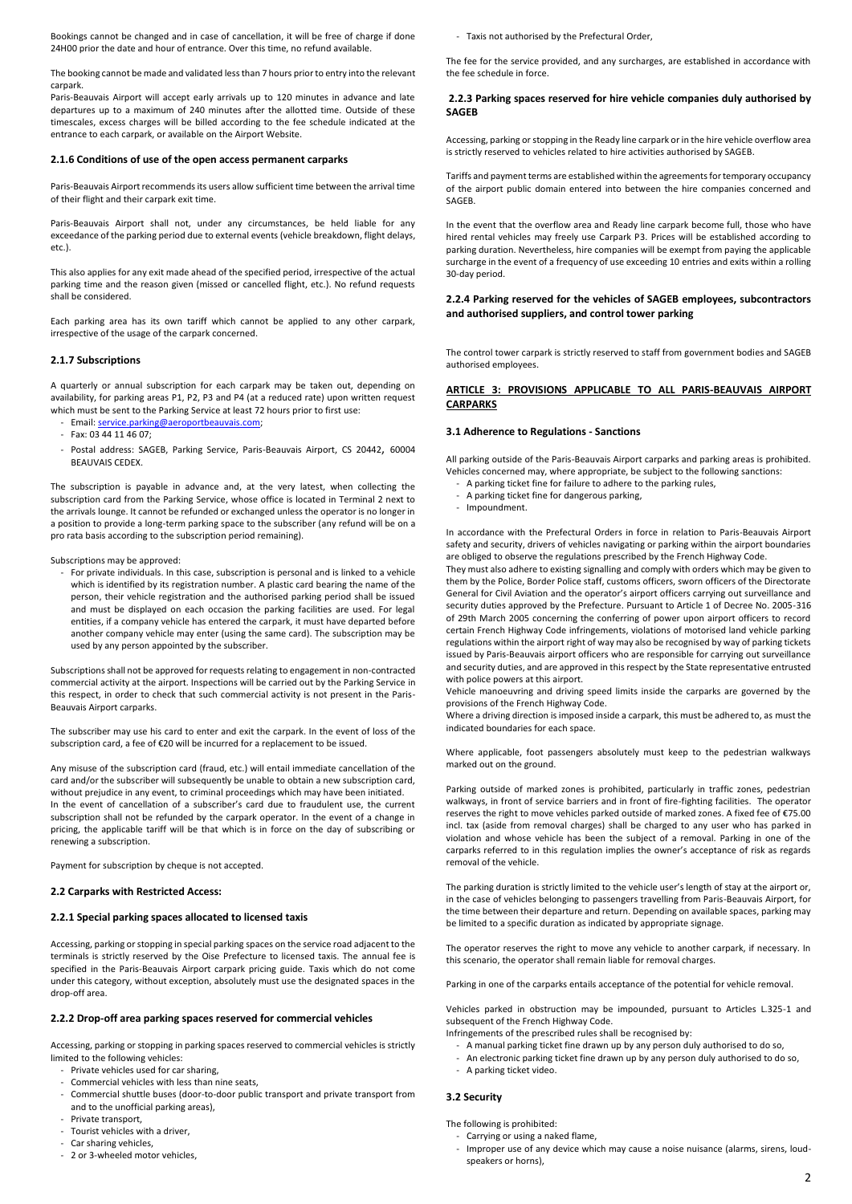Bookings cannot be changed and in case of cancellation, it will be free of charge if done 24H00 prior the date and hour of entrance. Over this time, no refund available.

The booking cannot be made and validated less than 7 hours prior to entry into the relevant carpark.

Paris-Beauvais Airport will accept early arrivals up to 120 minutes in advance and late departures up to a maximum of 240 minutes after the allotted time. Outside of these timescales, excess charges will be billed according to the fee schedule indicated at the entrance to each carpark, or available on the Airport Website.

### **2.1.6 Conditions of use of the open access permanent carparks**

Paris-Beauvais Airport recommends its users allow sufficient time between the arrival time of their flight and their carpark exit time.

Paris-Beauvais Airport shall not, under any circumstances, be held liable for any exceedance of the parking period due to external events (vehicle breakdown, flight delays, etc.).

This also applies for any exit made ahead of the specified period, irrespective of the actual parking time and the reason given (missed or cancelled flight, etc.). No refund requests shall be considered.

Each parking area has its own tariff which cannot be applied to any other carpark, irrespective of the usage of the carpark concerned.

### **2.1.7 Subscriptions**

A quarterly or annual subscription for each carpark may be taken out, depending on availability, for parking areas P1, P2, P3 and P4 (at a reduced rate) upon written request which must be sent to the Parking Service at least 72 hours prior to first use:

- Email[: service.parking@aeroportbeauvais.com;](mailto:service.parking@aeroportbeauvais.com)
- $-$  Fax: 03 44 11 46 07
- Postal address: SAGEB, Parking Service, Paris-Beauvais Airport, CS 20442, 60004 BEAUVAIS CEDEX.

The subscription is payable in advance and, at the very latest, when collecting the subscription card from the Parking Service, whose office is located in Terminal 2 next to the arrivals lounge. It cannot be refunded or exchanged unless the operator is no longer in a position to provide a long-term parking space to the subscriber (any refund will be on a pro rata basis according to the subscription period remaining).

Subscriptions may be approved:

- For private individuals. In this case, subscription is personal and is linked to a vehicle which is identified by its registration number. A plastic card bearing the name of the person, their vehicle registration and the authorised parking period shall be issued and must be displayed on each occasion the parking facilities are used. For legal entities, if a company vehicle has entered the carpark, it must have departed before another company vehicle may enter (using the same card). The subscription may be used by any person appointed by the subscriber.

Subscriptions shall not be approved for requests relating to engagement in non-contracted commercial activity at the airport. Inspections will be carried out by the Parking Service in this respect, in order to check that such commercial activity is not present in the Paris-Beauvais Airport carparks.

The subscriber may use his card to enter and exit the carpark. In the event of loss of the subscription card, a fee of €20 will be incurred for a replacement to be issued.

Any misuse of the subscription card (fraud, etc.) will entail immediate cancellation of the card and/or the subscriber will subsequently be unable to obtain a new subscription card, without prejudice in any event, to criminal proceedings which may have been initiated. In the event of cancellation of a subscriber's card due to fraudulent use, the current subscription shall not be refunded by the carpark operator. In the event of a change in pricing, the applicable tariff will be that which is in force on the day of subscribing or renewing a subscription.

Payment for subscription by cheque is not accepted.

# **2.2 Carparks with Restricted Access:**

### **2.2.1 Special parking spaces allocated to licensed taxis**

Accessing, parking or stopping in special parking spaces on the service road adjacent to the terminals is strictly reserved by the Oise Prefecture to licensed taxis. The annual fee is specified in the Paris-Beauvais Airport carpark pricing guide. Taxis which do not come under this category, without exception, absolutely must use the designated spaces in the drop-off area.

### **2.2.2 Drop-off area parking spaces reserved for commercial vehicles**

Accessing, parking or stopping in parking spaces reserved to commercial vehicles is strictly limited to the following vehicles:

- Private vehicles used for car sharing,
- Commercial vehicles with less than nine seats,
- Commercial shuttle buses (door-to-door public transport and private transport from and to the unofficial parking areas),
- Private transport,
- Tourist vehicles with a driver,
- Car sharing vehicles, - 2 or 3-wheeled motor vehicles,

- Taxis not authorised by the Prefectural Order,

The fee for the service provided, and any surcharges, are established in accordance with the fee schedule in force.

# **2.2.3 Parking spaces reserved for hire vehicle companies duly authorised by SAGEB**

Accessing, parking or stopping in the Ready line carpark or in the hire vehicle overflow area is strictly reserved to vehicles related to hire activities authorised by SAGEB.

Tariffs and payment terms are established within the agreements for temporary occupancy of the airport public domain entered into between the hire companies concerned and SAGEB.

In the event that the overflow area and Ready line carpark become full, those who have hired rental vehicles may freely use Carpark P3. Prices will be established according to parking duration. Nevertheless, hire companies will be exempt from paying the applicable surcharge in the event of a frequency of use exceeding 10 entries and exits within a rolling 30-day period.

**2.2.4 Parking reserved for the vehicles of SAGEB employees, subcontractors and authorised suppliers, and control tower parking**

The control tower carpark is strictly reserved to staff from government bodies and SAGEB authorised employees.

# **ARTICLE 3: PROVISIONS APPLICABLE TO ALL PARIS-BEAUVAIS AIRPORT CARPARKS**

### **3.1 Adherence to Regulations - Sanctions**

All parking outside of the Paris-Beauvais Airport carparks and parking areas is prohibited. Vehicles concerned may, where appropriate, be subject to the following sanctions:

- A parking ticket fine for failure to adhere to the parking rules,
- A parking ticket fine for dangerous parking,
- Impoundment.

In accordance with the Prefectural Orders in force in relation to Paris-Beauvais Airport safety and security, drivers of vehicles navigating or parking within the airport boundaries are obliged to observe the regulations prescribed by the French Highway Code.

They must also adhere to existing signalling and comply with orders which may be given to them by the Police, Border Police staff, customs officers, sworn officers of the Directorate General for Civil Aviation and the operator's airport officers carrying out surveillance and security duties approved by the Prefecture. Pursuant to Article 1 of Decree No. 2005-316 of 29th March 2005 concerning the conferring of power upon airport officers to record certain French Highway Code infringements, violations of motorised land vehicle parking regulations within the airport right of way may also be recognised by way of parking tickets issued by Paris-Beauvais airport officers who are responsible for carrying out surveillance and security duties, and are approved in this respect by the State representative entrusted with police powers at this airport.

Vehicle manoeuvring and driving speed limits inside the carparks are governed by the provisions of the French Highway Code.

Where a driving direction is imposed inside a carpark, this must be adhered to, as must the indicated boundaries for each space.

Where applicable, foot passengers absolutely must keep to the pedestrian walkways marked out on the ground.

Parking outside of marked zones is prohibited, particularly in traffic zones, pedestrian walkways, in front of service barriers and in front of fire-fighting facilities. The operator reserves the right to move vehicles parked outside of marked zones. A fixed fee of €75.00 incl. tax (aside from removal charges) shall be charged to any user who has parked in violation and whose vehicle has been the subject of a removal. Parking in one of the carparks referred to in this regulation implies the owner's acceptance of risk as regards removal of the vehicle.

The parking duration is strictly limited to the vehicle user's length of stay at the airport or, in the case of vehicles belonging to passengers travelling from Paris-Beauvais Airport, for the time between their departure and return. Depending on available spaces, parking may be limited to a specific duration as indicated by appropriate signage.

The operator reserves the right to move any vehicle to another carpark, if necessary. In this scenario, the operator shall remain liable for removal charges.

Parking in one of the carparks entails acceptance of the potential for vehicle removal.

Vehicles parked in obstruction may be impounded, pursuant to Articles L.325-1 and subsequent of the French Highway Code.

- Infringements of the prescribed rules shall be recognised by:
	- A manual parking ticket fine drawn up by any person duly authorised to do so,
	- An electronic parking ticket fine drawn up by any person duly authorised to do so,
- A parking ticket video.

# **3.2 Security**

The following is prohibited:

- Carrying or using a naked flame,
- Improper use of any device which may cause a noise nuisance (alarms, sirens, loudspeakers or horns),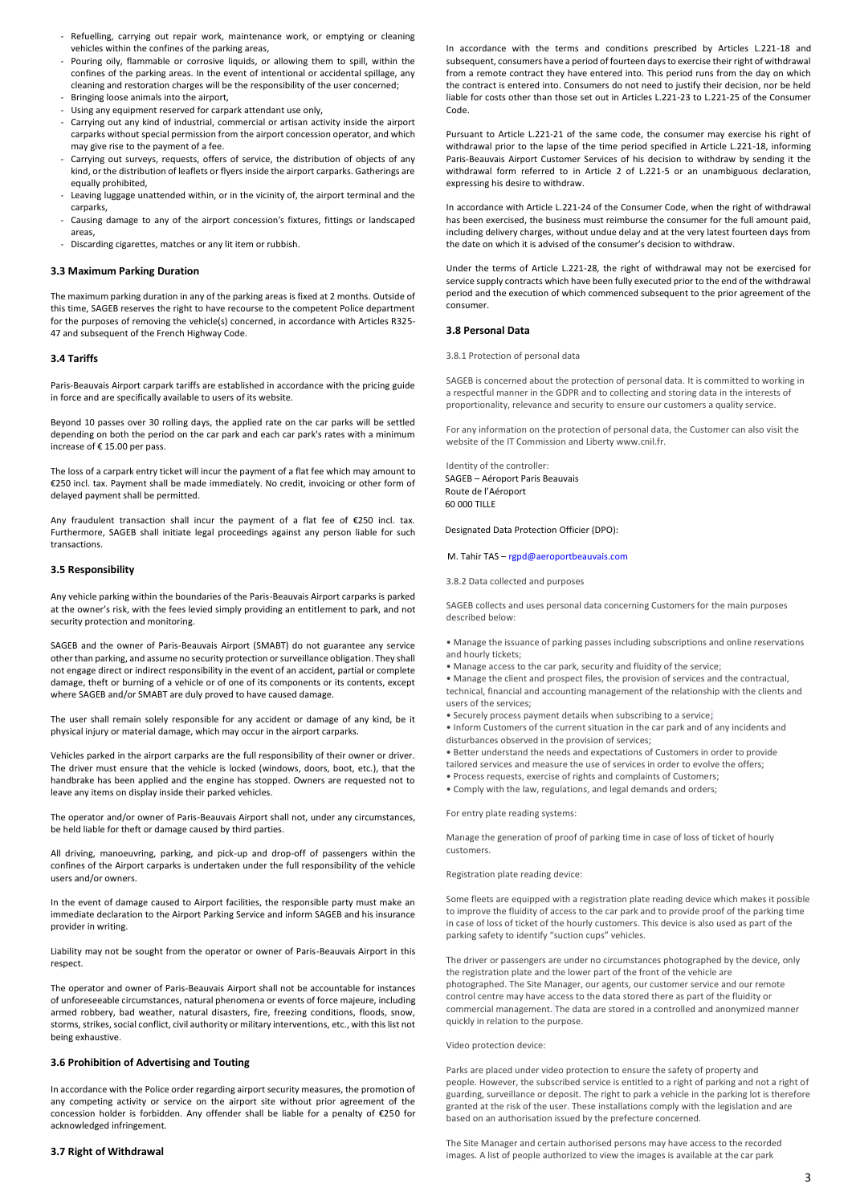- Refuelling, carrying out repair work, maintenance work, or emptying or cleaning vehicles within the confines of the parking areas,
- Pouring oily, flammable or corrosive liquids, or allowing them to spill, within the confines of the parking areas. In the event of intentional or accidental spillage, any cleaning and restoration charges will be the responsibility of the user concerned;
- Bringing loose animals into the airport,
- Using any equipment reserved for carpark attendant use only,
- Carrying out any kind of industrial, commercial or artisan activity inside the airport carparks without special permission from the airport concession operator, and which may give rise to the payment of a fee.
- Carrying out surveys, requests, offers of service, the distribution of objects of any kind, or the distribution of leaflets or flyers inside the airport carparks. Gatherings are equally prohibited,
- Leaving luggage unattended within, or in the vicinity of, the airport terminal and the carparks,
- Causing damage to any of the airport concession's fixtures, fittings or landscaped areas,
- Discarding cigarettes, matches or any lit item or rubbish.

# **3.3 Maximum Parking Duration**

The maximum parking duration in any of the parking areas is fixed at 2 months. Outside of this time, SAGEB reserves the right to have recourse to the competent Police department for the purposes of removing the vehicle(s) concerned, in accordance with Articles R325- 47 and subsequent of the French Highway Code.

### **3.4 Tariffs**

Paris-Beauvais Airport carpark tariffs are established in accordance with the pricing guide in force and are specifically available to users of its website.

Beyond 10 passes over 30 rolling days, the applied rate on the car parks will be settled depending on both the period on the car park and each car park's rates with a minimum increase of € 15.00 per pass.

The loss of a carpark entry ticket will incur the payment of a flat fee which may amount to €250 incl. tax. Payment shall be made immediately. No credit, invoicing or other form of delayed payment shall be permitted.

Any fraudulent transaction shall incur the payment of a flat fee of €250 incl. tax. Furthermore, SAGEB shall initiate legal proceedings against any person liable for such transactions.

# **3.5 Responsibility**

Any vehicle parking within the boundaries of the Paris-Beauvais Airport carparks is parked at the owner's risk, with the fees levied simply providing an entitlement to park, and not security protection and monitoring.

SAGEB and the owner of Paris-Beauvais Airport (SMABT) do not guarantee any service other than parking, and assume no security protection or surveillance obligation. They shall not engage direct or indirect responsibility in the event of an accident, partial or complete damage, theft or burning of a vehicle or of one of its components or its contents, except where SAGEB and/or SMABT are duly proved to have caused damage.

The user shall remain solely responsible for any accident or damage of any kind, be it physical injury or material damage, which may occur in the airport carparks.

Vehicles parked in the airport carparks are the full responsibility of their owner or driver. The driver must ensure that the vehicle is locked (windows, doors, boot, etc.), that the handbrake has been applied and the engine has stopped. Owners are requested not to leave any items on display inside their parked vehicles.

The operator and/or owner of Paris-Beauvais Airport shall not, under any circumstances, be held liable for theft or damage caused by third parties.

All driving, manoeuvring, parking, and pick-up and drop-off of passengers within the confines of the Airport carparks is undertaken under the full responsibility of the vehicle users and/or owners.

In the event of damage caused to Airport facilities, the responsible party must make an immediate declaration to the Airport Parking Service and inform SAGEB and his insurance provider in writing.

Liability may not be sought from the operator or owner of Paris-Beauvais Airport in this respect.

The operator and owner of Paris-Beauvais Airport shall not be accountable for instances of unforeseeable circumstances, natural phenomena or events of force majeure, including armed robbery, bad weather, natural disasters, fire, freezing conditions, floods, snow, storms, strikes, social conflict, civil authority or military interventions, etc., with this list not being exhaustive.

# **3.6 Prohibition of Advertising and Touting**

In accordance with the Police order regarding airport security measures, the promotion of any competing activity or service on the airport site without prior agreement of the concession holder is forbidden. Any offender shall be liable for a penalty of €250 for acknowledged infringement.

## **3.7 Right of Withdrawal**

In accordance with the terms and conditions prescribed by Articles L.221-18 and subsequent, consumers have a period of fourteen days to exercise their right of withdrawal from a remote contract they have entered into. This period runs from the day on which the contract is entered into. Consumers do not need to justify their decision, nor be held liable for costs other than those set out in Articles L.221-23 to L.221-25 of the Consumer Code.

Pursuant to Article L.221-21 of the same code, the consumer may exercise his right of withdrawal prior to the lapse of the time period specified in Article L.221-18, informing Paris-Beauvais Airport Customer Services of his decision to withdraw by sending it the withdrawal form referred to in Article 2 of L.221-5 or an unambiguous declaration, expressing his desire to withdraw.

In accordance with Article L.221-24 of the Consumer Code, when the right of withdrawal has been exercised, the business must reimburse the consumer for the full amount paid, including delivery charges, without undue delay and at the very latest fourteen days from the date on which it is advised of the consumer's decision to withdraw.

Under the terms of Article L.221-28, the right of withdrawal may not be exercised for service supply contracts which have been fully executed prior to the end of the withdrawal period and the execution of which commenced subsequent to the prior agreement of the consumer.

### **3.8 Personal Data**

3.8.1 Protection of personal data

SAGEB is concerned about the protection of personal data. It is committed to working in a respectful manner in the GDPR and to collecting and storing data in the interests of proportionality, relevance and security to ensure our customers a quality service.

For any information on the protection of personal data, the Customer can also visit the website of the IT Commission and Liberty www.cnil.fr.

Identity of the controller: SAGEB – Aéroport Paris Beauvais Route de l'Aéroport 60 000 TILLE

Designated Data Protection Officier (DPO):

# M. Tahir TAS – [rgpd@aeroportbeauvais.com](mailto:rgpd@aeroportbeauvais.com)

3.8.2 Data collected and purposes

SAGEB collects and uses personal data concerning Customers for the main purposes described below:

• Manage the issuance of parking passes including subscriptions and online reservations and hourly tickets;

• Manage access to the car park, security and fluidity of the service;

• Manage the client and prospect files, the provision of services and the contractual, technical, financial and accounting management of the relationship with the clients and users of the services;

• Securely process payment details when subscribing to a service;

• Inform Customers of the current situation in the car park and of any incidents and disturbances observed in the provision of services;

• Better understand the needs and expectations of Customers in order to provide tailored services and measure the use of services in order to evolve the offers; • Process requests, exercise of rights and complaints of Customers;

• Comply with the law, regulations, and legal demands and orders;

For entry plate reading systems:

Manage the generation of proof of parking time in case of loss of ticket of hourly customers.

Registration plate reading device:

Some fleets are equipped with a registration plate reading device which makes it possible to improve the fluidity of access to the car park and to provide proof of the parking time in case of loss of ticket of the hourly customers. This device is also used as part of the parking safety to identify "suction cups" vehicles.

The driver or passengers are under no circumstances photographed by the device, only the registration plate and the lower part of the front of the vehicle are photographed. The Site Manager, our agents, our customer service and our remote control centre may have access to the data stored there as part of the fluidity or commercial management. The data are stored in a controlled and anonymized manner quickly in relation to the purpose.

#### Video protection device:

Parks are placed under video protection to ensure the safety of property and people. However, the subscribed service is entitled to a right of parking and not a right of guarding, surveillance or deposit. The right to park a vehicle in the parking lot is therefore granted at the risk of the user. These installations comply with the legislation and are based on an authorisation issued by the prefecture concerned.

The Site Manager and certain authorised persons may have access to the recorded images. A list of people authorized to view the images is available at the car park